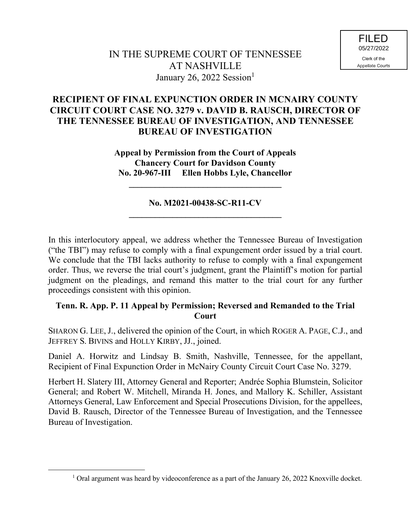# **RECIPIENT OF FINAL EXPUNCTION ORDER IN MCNAIRY COUNTY CIRCUIT COURT CASE NO. 3279 v. DAVID B. RAUSCH, DIRECTOR OF THE TENNESSEE BUREAU OF INVESTIGATION, AND TENNESSEE BUREAU OF INVESTIGATION**

**Appeal by Permission from the Court of Appeals Chancery Court for Davidson County No. 20-967-III Ellen Hobbs Lyle, Chancellor**

## **No. M2021-00438-SC-R11-CV \_\_\_\_\_\_\_\_\_\_\_\_\_\_\_\_\_\_\_\_\_\_\_\_\_\_\_\_\_\_\_\_\_\_\_**

**\_\_\_\_\_\_\_\_\_\_\_\_\_\_\_\_\_\_\_\_\_\_\_\_\_\_\_\_\_\_\_\_\_\_\_**

In this interlocutory appeal, we address whether the Tennessee Bureau of Investigation ("the TBI") may refuse to comply with a final expungement order issued by a trial court. We conclude that the TBI lacks authority to refuse to comply with a final expungement order. Thus, we reverse the trial court's judgment, grant the Plaintiff's motion for partial judgment on the pleadings, and remand this matter to the trial court for any further proceedings consistent with this opinion.

## **Tenn. R. App. P. 11 Appeal by Permission; Reversed and Remanded to the Trial Court**

SHARON G. LEE, J., delivered the opinion of the Court, in which ROGER A. PAGE, C.J., and JEFFREY S. BIVINS and HOLLY KIRBY, JJ., joined.

Daniel A. Horwitz and Lindsay B. Smith, Nashville, Tennessee, for the appellant, Recipient of Final Expunction Order in McNairy County Circuit Court Case No. 3279.

Herbert H. Slatery III, Attorney General and Reporter; Andrée Sophia Blumstein, Solicitor General; and Robert W. Mitchell, Miranda H. Jones, and Mallory K. Schiller, Assistant Attorneys General, Law Enforcement and Special Prosecutions Division, for the appellees, David B. Rausch, Director of the Tennessee Bureau of Investigation, and the Tennessee Bureau of Investigation.

 $1$  Oral argument was heard by videoconference as a part of the January 26, 2022 Knoxville docket.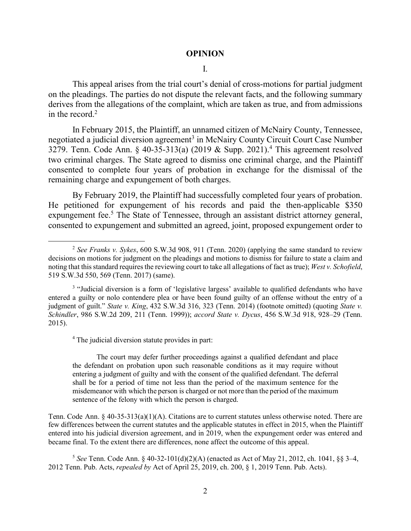#### **OPINION**

#### I.

This appeal arises from the trial court's denial of cross-motions for partial judgment on the pleadings. The parties do not dispute the relevant facts, and the following summary derives from the allegations of the complaint, which are taken as true, and from admissions in the record.<sup>2</sup>

In February 2015, the Plaintiff, an unnamed citizen of McNairy County, Tennessee, negotiated a judicial diversion agreement<sup>3</sup> in McNairy County Circuit Court Case Number 3279. Tenn. Code Ann. § 40-35-313(a) (2019 & Supp. 2021). <sup>4</sup> This agreement resolved two criminal charges. The State agreed to dismiss one criminal charge, and the Plaintiff consented to complete four years of probation in exchange for the dismissal of the remaining charge and expungement of both charges.

By February 2019, the Plaintiff had successfully completed four years of probation. He petitioned for expungement of his records and paid the then-applicable \$350 expungement fee.<sup>5</sup> The State of Tennessee, through an assistant district attorney general, consented to expungement and submitted an agreed, joint, proposed expungement order to

<sup>4</sup> The judicial diversion statute provides in part:

l

The court may defer further proceedings against a qualified defendant and place the defendant on probation upon such reasonable conditions as it may require without entering a judgment of guilty and with the consent of the qualified defendant. The deferral shall be for a period of time not less than the period of the maximum sentence for the misdemeanor with which the person is charged or not more than the period of the maximum sentence of the felony with which the person is charged.

Tenn. Code Ann. § 40-35-313(a)(1)(A). Citations are to current statutes unless otherwise noted. There are few differences between the current statutes and the applicable statutes in effect in 2015, when the Plaintiff entered into his judicial diversion agreement, and in 2019, when the expungement order was entered and became final. To the extent there are differences, none affect the outcome of this appeal.

5 *See* Tenn. Code Ann. § 40-32-101(d)(2)(A) (enacted as Act of May 21, 2012, ch. 1041, §§ 3–4, 2012 Tenn. Pub. Acts, *repealed by* Act of April 25, 2019, ch. 200, § 1, 2019 Tenn. Pub. Acts).

<sup>2</sup> *See Franks v. Sykes*, 600 S.W.3d 908, 911 (Tenn. 2020) (applying the same standard to review decisions on motions for judgment on the pleadings and motions to dismiss for failure to state a claim and noting that this standard requires the reviewing court to take all allegations of fact as true); *West v. Schofield*, 519 S.W.3d 550, 569 (Tenn. 2017) (same).

<sup>&</sup>lt;sup>3</sup> "Judicial diversion is a form of 'legislative largess' available to qualified defendants who have entered a guilty or nolo contendere plea or have been found guilty of an offense without the entry of a judgment of guilt." *State v. King*, 432 S.W.3d 316, 323 (Tenn. 2014) (footnote omitted) (quoting *State v. Schindler*, 986 S.W.2d 209, 211 (Tenn. 1999)); *accord State v. Dycus*, 456 S.W.3d 918, 928–29 (Tenn. 2015).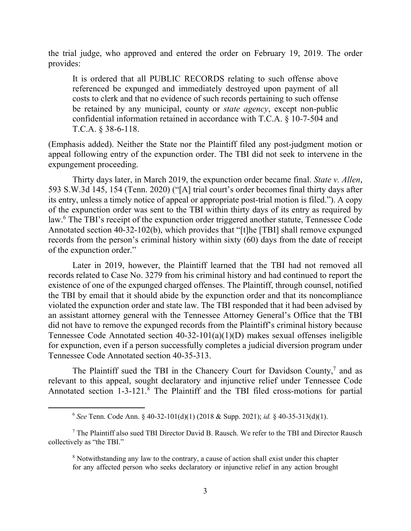the trial judge, who approved and entered the order on February 19, 2019. The order provides:

It is ordered that all PUBLIC RECORDS relating to such offense above referenced be expunged and immediately destroyed upon payment of all costs to clerk and that no evidence of such records pertaining to such offense be retained by any municipal, county or *state agency*, except non-public confidential information retained in accordance with T.C.A. § 10-7-504 and T.C.A. § 38-6-118.

(Emphasis added). Neither the State nor the Plaintiff filed any post-judgment motion or appeal following entry of the expunction order. The TBI did not seek to intervene in the expungement proceeding.

Thirty days later, in March 2019, the expunction order became final. *State v. Allen*, 593 S.W.3d 145, 154 (Tenn. 2020) ("[A] trial court's order becomes final thirty days after its entry, unless a timely notice of appeal or appropriate post-trial motion is filed."). A copy of the expunction order was sent to the TBI within thirty days of its entry as required by law.<sup>6</sup> The TBI's receipt of the expunction order triggered another statute, Tennessee Code Annotated section 40-32-102(b), which provides that "[t]he [TBI] shall remove expunged records from the person's criminal history within sixty (60) days from the date of receipt of the expunction order."

Later in 2019, however, the Plaintiff learned that the TBI had not removed all records related to Case No. 3279 from his criminal history and had continued to report the existence of one of the expunged charged offenses. The Plaintiff, through counsel, notified the TBI by email that it should abide by the expunction order and that its noncompliance violated the expunction order and state law. The TBI responded that it had been advised by an assistant attorney general with the Tennessee Attorney General's Office that the TBI did not have to remove the expunged records from the Plaintiff's criminal history because Tennessee Code Annotated section 40-32-101(a)(1)(D) makes sexual offenses ineligible for expunction, even if a person successfully completes a judicial diversion program under Tennessee Code Annotated section 40-35-313.

The Plaintiff sued the TBI in the Chancery Court for Davidson County,<sup>7</sup> and as relevant to this appeal, sought declaratory and injunctive relief under Tennessee Code Annotated section 1-3-121.<sup>8</sup> The Plaintiff and the TBI filed cross-motions for partial

<sup>6</sup> *See* Tenn. Code Ann. § 40-32-101(d)(1) (2018 & Supp. 2021); *id.* § 40-35-313(d)(1).

<sup>&</sup>lt;sup>7</sup> The Plaintiff also sued TBI Director David B. Rausch. We refer to the TBI and Director Rausch collectively as "the TBI."

<sup>8</sup> Notwithstanding any law to the contrary, a cause of action shall exist under this chapter for any affected person who seeks declaratory or injunctive relief in any action brought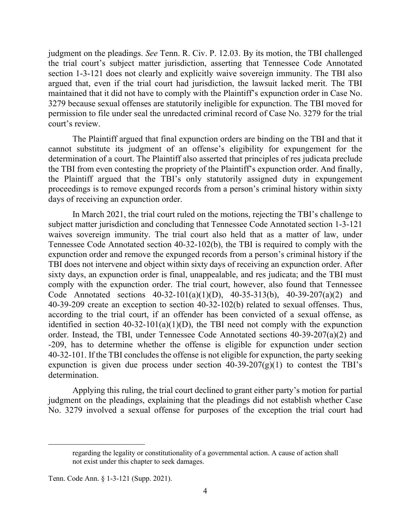judgment on the pleadings. *See* Tenn. R. Civ. P. 12.03. By its motion, the TBI challenged the trial court's subject matter jurisdiction, asserting that Tennessee Code Annotated section 1-3-121 does not clearly and explicitly waive sovereign immunity. The TBI also argued that, even if the trial court had jurisdiction, the lawsuit lacked merit. The TBI maintained that it did not have to comply with the Plaintiff's expunction order in Case No. 3279 because sexual offenses are statutorily ineligible for expunction. The TBI moved for permission to file under seal the unredacted criminal record of Case No. 3279 for the trial court's review.

The Plaintiff argued that final expunction orders are binding on the TBI and that it cannot substitute its judgment of an offense's eligibility for expungement for the determination of a court. The Plaintiff also asserted that principles of res judicata preclude the TBI from even contesting the propriety of the Plaintiff's expunction order. And finally, the Plaintiff argued that the TBI's only statutorily assigned duty in expungement proceedings is to remove expunged records from a person's criminal history within sixty days of receiving an expunction order.

In March 2021, the trial court ruled on the motions, rejecting the TBI's challenge to subject matter jurisdiction and concluding that Tennessee Code Annotated section 1-3-121 waives sovereign immunity. The trial court also held that as a matter of law, under Tennessee Code Annotated section 40-32-102(b), the TBI is required to comply with the expunction order and remove the expunged records from a person's criminal history if the TBI does not intervene and object within sixty days of receiving an expunction order. After sixty days, an expunction order is final, unappealable, and res judicata; and the TBI must comply with the expunction order. The trial court, however, also found that Tennessee Code Annotated sections 40-32-101(a)(1)(D), 40-35-313(b), 40-39-207(a)(2) and 40-39-209 create an exception to section 40-32-102(b) related to sexual offenses. Thus, according to the trial court, if an offender has been convicted of a sexual offense, as identified in section  $40-32-101(a)(1)(D)$ , the TBI need not comply with the expunction order. Instead, the TBI, under Tennessee Code Annotated sections 40-39-207(a)(2) and -209, has to determine whether the offense is eligible for expunction under section 40-32-101. If the TBI concludes the offense is not eligible for expunction, the party seeking expunction is given due process under section  $40-39-207(g)(1)$  to contest the TBI's determination.

Applying this ruling, the trial court declined to grant either party's motion for partial judgment on the pleadings, explaining that the pleadings did not establish whether Case No. 3279 involved a sexual offense for purposes of the exception the trial court had

regarding the legality or constitutionality of a governmental action. A cause of action shall not exist under this chapter to seek damages.

Tenn. Code Ann. § 1-3-121 (Supp. 2021).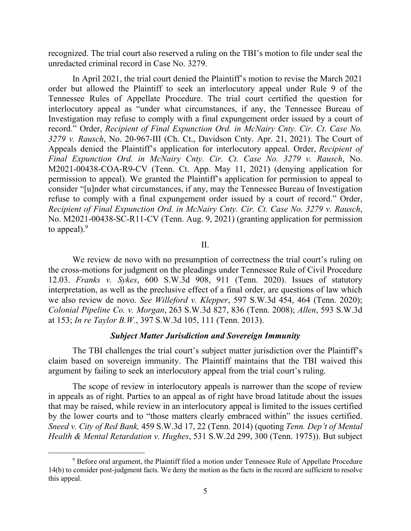recognized. The trial court also reserved a ruling on the TBI's motion to file under seal the unredacted criminal record in Case No. 3279.

In April 2021, the trial court denied the Plaintiff's motion to revise the March 2021 order but allowed the Plaintiff to seek an interlocutory appeal under Rule 9 of the Tennessee Rules of Appellate Procedure. The trial court certified the question for interlocutory appeal as "under what circumstances, if any, the Tennessee Bureau of Investigation may refuse to comply with a final expungement order issued by a court of record." Order, *Recipient of Final Expunction Ord. in McNairy Cnty. Cir. Ct. Case No. 3279 v. Rausch*, No. 20-967-III (Ch. Ct., Davidson Cnty. Apr. 21, 2021). The Court of Appeals denied the Plaintiff's application for interlocutory appeal. Order, *Recipient of Final Expunction Ord. in McNairy Cnty. Cir. Ct. Case No. 3279 v. Rausch*, No. M2021-00438-COA-R9-CV (Tenn. Ct. App. May 11, 2021) (denying application for permission to appeal). We granted the Plaintiff's application for permission to appeal to consider "[u]nder what circumstances, if any, may the Tennessee Bureau of Investigation refuse to comply with a final expungement order issued by a court of record." Order, *Recipient of Final Expunction Ord. in McNairy Cnty. Cir. Ct. Case No. 3279 v. Rausch*, No. M2021-00438-SC-R11-CV (Tenn. Aug. 9, 2021) (granting application for permission to appeal). $9$ 

II.

We review de novo with no presumption of correctness the trial court's ruling on the cross-motions for judgment on the pleadings under Tennessee Rule of Civil Procedure 12.03. *Franks v. Sykes*, 600 S.W.3d 908, 911 (Tenn. 2020). Issues of statutory interpretation, as well as the preclusive effect of a final order, are questions of law which we also review de novo. *See Willeford v. Klepper*, 597 S.W.3d 454, 464 (Tenn. 2020); *Colonial Pipeline Co. v. Morgan*, 263 S.W.3d 827, 836 (Tenn. 2008); *Allen*, 593 S.W.3d at 153; *In re Taylor B.W.*, 397 S.W.3d 105, 111 (Tenn. 2013).

### *Subject Matter Jurisdiction and Sovereign Immunity*

The TBI challenges the trial court's subject matter jurisdiction over the Plaintiff's claim based on sovereign immunity. The Plaintiff maintains that the TBI waived this argument by failing to seek an interlocutory appeal from the trial court's ruling.

The scope of review in interlocutory appeals is narrower than the scope of review in appeals as of right. Parties to an appeal as of right have broad latitude about the issues that may be raised, while review in an interlocutory appeal is limited to the issues certified by the lower courts and to "those matters clearly embraced within" the issues certified. *Sneed v. City of Red Bank,* 459 S.W.3d 17, 22 (Tenn. 2014) (quoting *Tenn. Dep't of Mental Health & Mental Retardation v. Hughes*, 531 S.W.2d 299, 300 (Tenn. 1975)). But subject

<sup>&</sup>lt;sup>9</sup> Before oral argument, the Plaintiff filed a motion under Tennessee Rule of Appellate Procedure 14(b) to consider post-judgment facts. We deny the motion as the facts in the record are sufficient to resolve this appeal.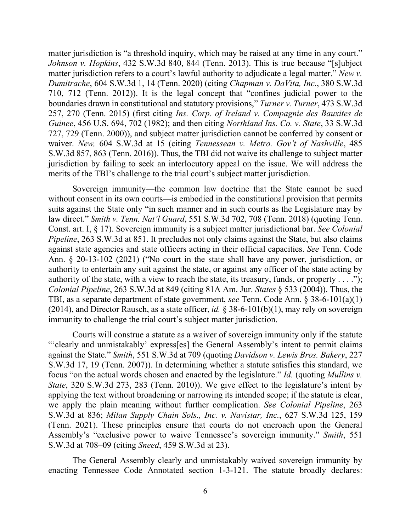matter jurisdiction is "a threshold inquiry, which may be raised at any time in any court." *Johnson v. Hopkins*, 432 S.W.3d 840, 844 (Tenn. 2013). This is true because "[s]ubject matter jurisdiction refers to a court's lawful authority to adjudicate a legal matter." *New v. Dumitrache*, 604 S.W.3d 1, 14 (Tenn. 2020) (citing *Chapman v. DaVita, Inc.*, 380 S.W.3d 710, 712 (Tenn. 2012)). It is the legal concept that "confines judicial power to the boundaries drawn in constitutional and statutory provisions," *Turner v. Turner*, 473 S.W.3d 257, 270 (Tenn. 2015) (first citing *Ins. Corp. of Ireland v. Compagnie des Bauxites de Guinee*, 456 U.S. 694, 702 (1982); and then citing *Northland Ins. Co. v. State*, 33 S.W.3d 727, 729 (Tenn. 2000)), and subject matter jurisdiction cannot be conferred by consent or waiver. *New,* 604 S.W.3d at 15 (citing *Tennessean v. Metro. Gov't of Nashville*, 485 S.W.3d 857, 863 (Tenn. 2016)). Thus, the TBI did not waive its challenge to subject matter jurisdiction by failing to seek an interlocutory appeal on the issue. We will address the merits of the TBI's challenge to the trial court's subject matter jurisdiction.

Sovereign immunity—the common law doctrine that the State cannot be sued without consent in its own courts—is embodied in the constitutional provision that permits suits against the State only "in such manner and in such courts as the Legislature may by law direct." *Smith v. Tenn. Nat'l Guard*, 551 S.W.3d 702, 708 (Tenn. 2018) (quoting Tenn. Const. art. I, § 17). Sovereign immunity is a subject matter jurisdictional bar. *See Colonial Pipeline*, 263 S.W.3d at 851. It precludes not only claims against the State, but also claims against state agencies and state officers acting in their official capacities. *See* Tenn. Code Ann. § 20-13-102 (2021) ("No court in the state shall have any power, jurisdiction, or authority to entertain any suit against the state, or against any officer of the state acting by authority of the state, with a view to reach the state, its treasury, funds, or property  $\dots$ ."); *Colonial Pipeline*, 263 S.W.3d at 849 (citing 81A Am. Jur. *States* § 533 (2004)). Thus, the TBI, as a separate department of state government, *see* Tenn. Code Ann. § 38-6-101(a)(1) (2014), and Director Rausch, as a state officer, *id.* § 38-6-101(b)(1), may rely on sovereign immunity to challenge the trial court's subject matter jurisdiction.

Courts will construe a statute as a waiver of sovereign immunity only if the statute "'clearly and unmistakably' express[es] the General Assembly's intent to permit claims against the State." *Smith*, 551 S.W.3d at 709 (quoting *Davidson v. Lewis Bros. Bakery*, 227 S.W.3d 17, 19 (Tenn. 2007)). In determining whether a statute satisfies this standard, we focus "on the actual words chosen and enacted by the legislature." *Id.* (quoting *Mullins v. State*, 320 S.W.3d 273, 283 (Tenn. 2010)). We give effect to the legislature's intent by applying the text without broadening or narrowing its intended scope; if the statute is clear, we apply the plain meaning without further complication. *See Colonial Pipeline*, 263 S.W.3d at 836; *Milan Supply Chain Sols., Inc. v. Navistar, Inc.*, 627 S.W.3d 125, 159 (Tenn. 2021). These principles ensure that courts do not encroach upon the General Assembly's "exclusive power to waive Tennessee's sovereign immunity." *Smith*, 551 S.W.3d at 708–09 (citing *Sneed*, 459 S.W.3d at 23).

The General Assembly clearly and unmistakably waived sovereign immunity by enacting Tennessee Code Annotated section 1-3-121. The statute broadly declares: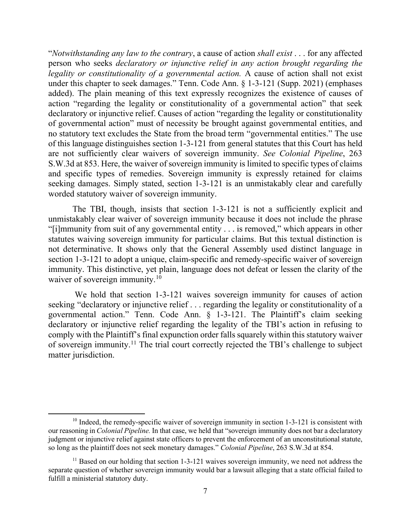"*Notwithstanding any law to the contrary*, a cause of action *shall exist* . . . for any affected person who seeks *declaratory or injunctive relief in any action brought regarding the legality or constitutionality of a governmental action.* A cause of action shall not exist under this chapter to seek damages." Tenn. Code Ann. § 1-3-121 (Supp. 2021) (emphases added). The plain meaning of this text expressly recognizes the existence of causes of action "regarding the legality or constitutionality of a governmental action" that seek declaratory or injunctive relief. Causes of action "regarding the legality or constitutionality of governmental action" must of necessity be brought against governmental entities, and no statutory text excludes the State from the broad term "governmental entities." The use of this language distinguishes section 1-3-121 from general statutes that this Court has held are not sufficiently clear waivers of sovereign immunity. *See Colonial Pipeline*, 263 S.W.3d at 853. Here, the waiver of sovereign immunity is limited to specific types of claims and specific types of remedies. Sovereign immunity is expressly retained for claims seeking damages. Simply stated, section 1-3-121 is an unmistakably clear and carefully worded statutory waiver of sovereign immunity.

The TBI, though, insists that section 1-3-121 is not a sufficiently explicit and unmistakably clear waiver of sovereign immunity because it does not include the phrase "[i]mmunity from suit of any governmental entity . . . is removed," which appears in other statutes waiving sovereign immunity for particular claims. But this textual distinction is not determinative. It shows only that the General Assembly used distinct language in section 1-3-121 to adopt a unique, claim-specific and remedy-specific waiver of sovereign immunity. This distinctive, yet plain, language does not defeat or lessen the clarity of the waiver of sovereign immunity.<sup>10</sup>

We hold that section 1-3-121 waives sovereign immunity for causes of action seeking "declaratory or injunctive relief . . . regarding the legality or constitutionality of a governmental action." Tenn. Code Ann. § 1-3-121. The Plaintiff's claim seeking declaratory or injunctive relief regarding the legality of the TBI's action in refusing to comply with the Plaintiff's final expunction order falls squarely within this statutory waiver of sovereign immunity.<sup>11</sup> The trial court correctly rejected the TBI's challenge to subject matter jurisdiction.

 $10$  Indeed, the remedy-specific waiver of sovereign immunity in section 1-3-121 is consistent with our reasoning in *Colonial Pipeline.* In that case, we held that "sovereign immunity does not bar a declaratory judgment or injunctive relief against state officers to prevent the enforcement of an unconstitutional statute, so long as the plaintiff does not seek monetary damages." *Colonial Pipeline*, 263 S.W.3d at 854.

 $11$  Based on our holding that section 1-3-121 waives sovereign immunity, we need not address the separate question of whether sovereign immunity would bar a lawsuit alleging that a state official failed to fulfill a ministerial statutory duty.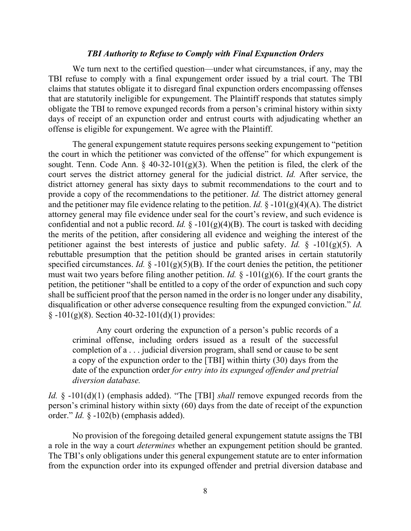### *TBI Authority to Refuse to Comply with Final Expunction Orders*

We turn next to the certified question—under what circumstances, if any, may the TBI refuse to comply with a final expungement order issued by a trial court. The TBI claims that statutes obligate it to disregard final expunction orders encompassing offenses that are statutorily ineligible for expungement. The Plaintiff responds that statutes simply obligate the TBI to remove expunged records from a person's criminal history within sixty days of receipt of an expunction order and entrust courts with adjudicating whether an offense is eligible for expungement. We agree with the Plaintiff.

The general expungement statute requires persons seeking expungement to "petition the court in which the petitioner was convicted of the offense" for which expungement is sought. Tenn. Code Ann.  $\frac{6}{9}$  40-32-101(g)(3). When the petition is filed, the clerk of the court serves the district attorney general for the judicial district. *Id.* After service, the district attorney general has sixty days to submit recommendations to the court and to provide a copy of the recommendations to the petitioner. *Id.* The district attorney general and the petitioner may file evidence relating to the petition. *Id.*  $\oint$  -101(g)(4)(A). The district attorney general may file evidence under seal for the court's review, and such evidence is confidential and not a public record. *Id.*  $\S -101(g)(4)(B)$ . The court is tasked with deciding the merits of the petition, after considering all evidence and weighing the interest of the petitioner against the best interests of justice and public safety. *Id.* § -101(g)(5). A rebuttable presumption that the petition should be granted arises in certain statutorily specified circumstances. *Id.*  $\S -101(g)(5)(B)$ . If the court denies the petition, the petitioner must wait two years before filing another petition. *Id.* § -101(g)(6). If the court grants the petition, the petitioner "shall be entitled to a copy of the order of expunction and such copy shall be sufficient proof that the person named in the order is no longer under any disability, disqualification or other adverse consequence resulting from the expunged conviction." *Id.*  $§ -101(g)(8)$ . Section 40-32-101(d)(1) provides:

Any court ordering the expunction of a person's public records of a criminal offense, including orders issued as a result of the successful completion of a . . . judicial diversion program, shall send or cause to be sent a copy of the expunction order to the [TBI] within thirty (30) days from the date of the expunction order *for entry into its expunged offender and pretrial diversion database.*

*Id.* § -101(d)(1) (emphasis added). "The [TBI] *shall* remove expunged records from the person's criminal history within sixty (60) days from the date of receipt of the expunction order." *Id.* § -102(b) (emphasis added).

No provision of the foregoing detailed general expungement statute assigns the TBI a role in the way a court *determines* whether an expungement petition should be granted. The TBI's only obligations under this general expungement statute are to enter information from the expunction order into its expunged offender and pretrial diversion database and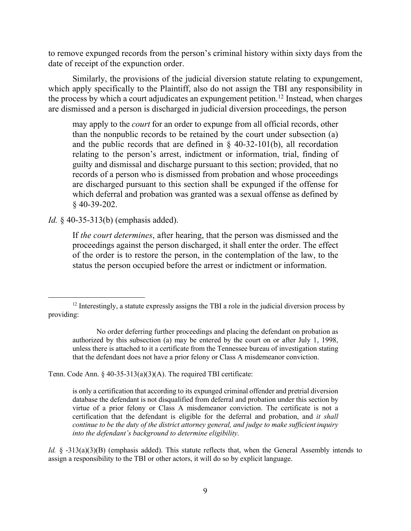to remove expunged records from the person's criminal history within sixty days from the date of receipt of the expunction order.

Similarly, the provisions of the judicial diversion statute relating to expungement, which apply specifically to the Plaintiff, also do not assign the TBI any responsibility in the process by which a court adjudicates an expungement petition. <sup>12</sup> Instead, when charges are dismissed and a person is discharged in judicial diversion proceedings, the person

may apply to the *court* for an order to expunge from all official records, other than the nonpublic records to be retained by the court under subsection (a) and the public records that are defined in  $\S$  40-32-101(b), all recordation relating to the person's arrest, indictment or information, trial, finding of guilty and dismissal and discharge pursuant to this section; provided, that no records of a person who is dismissed from probation and whose proceedings are discharged pursuant to this section shall be expunged if the offense for which deferral and probation was granted was a sexual offense as defined by § 40-39-202.

*Id.* § 40-35-313(b) (emphasis added).

l

If *the court determines*, after hearing, that the person was dismissed and the proceedings against the person discharged, it shall enter the order. The effect of the order is to restore the person, in the contemplation of the law, to the status the person occupied before the arrest or indictment or information.

Tenn. Code Ann. § 40-35-313(a)(3)(A). The required TBI certificate:

is only a certification that according to its expunged criminal offender and pretrial diversion database the defendant is not disqualified from deferral and probation under this section by virtue of a prior felony or Class A misdemeanor conviction. The certificate is not a certification that the defendant is eligible for the deferral and probation, and *it shall continue to be the duty of the district attorney general, and judge to make sufficient inquiry into the defendant's background to determine eligibility*.

*Id.* § -313(a)(3)(B) (emphasis added). This statute reflects that, when the General Assembly intends to assign a responsibility to the TBI or other actors, it will do so by explicit language.

 $12$  Interestingly, a statute expressly assigns the TBI a role in the judicial diversion process by providing:

No order deferring further proceedings and placing the defendant on probation as authorized by this subsection (a) may be entered by the court on or after July 1, 1998, unless there is attached to it a certificate from the Tennessee bureau of investigation stating that the defendant does not have a prior felony or Class A misdemeanor conviction.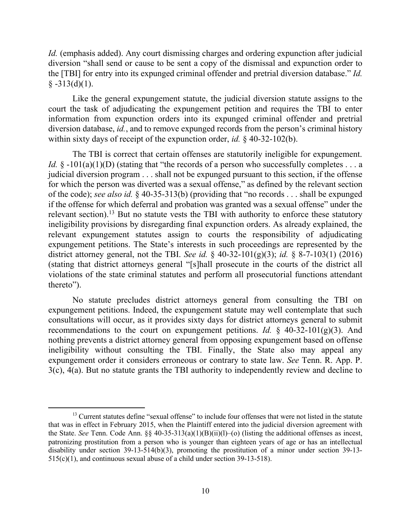*Id.* (emphasis added). Any court dismissing charges and ordering expunction after judicial diversion "shall send or cause to be sent a copy of the dismissal and expunction order to the [TBI] for entry into its expunged criminal offender and pretrial diversion database." *Id.*  $§ -313(d)(1).$ 

Like the general expungement statute, the judicial diversion statute assigns to the court the task of adjudicating the expungement petition and requires the TBI to enter information from expunction orders into its expunged criminal offender and pretrial diversion database, *id.*, and to remove expunged records from the person's criminal history within sixty days of receipt of the expunction order, *id.* § 40-32-102(b).

The TBI is correct that certain offenses are statutorily ineligible for expungement. *Id.*  $\oint$  -101(a)(1)(D) (stating that "the records of a person who successfully completes . . . a judicial diversion program . . . shall not be expunged pursuant to this section, if the offense for which the person was diverted was a sexual offense," as defined by the relevant section of the code); *see also id.* § 40-35-313(b) (providing that "no records . . . shall be expunged if the offense for which deferral and probation was granted was a sexual offense" under the relevant section).<sup>13</sup> But no statute vests the TBI with authority to enforce these statutory ineligibility provisions by disregarding final expunction orders. As already explained, the relevant expungement statutes assign to courts the responsibility of adjudicating expungement petitions. The State's interests in such proceedings are represented by the district attorney general, not the TBI. *See id.* § 40-32-101(g)(3); *id.* § 8-7-103(1) (2016) (stating that district attorneys general "[s]hall prosecute in the courts of the district all violations of the state criminal statutes and perform all prosecutorial functions attendant thereto").

No statute precludes district attorneys general from consulting the TBI on expungement petitions. Indeed, the expungement statute may well contemplate that such consultations will occur, as it provides sixty days for district attorneys general to submit recommendations to the court on expungement petitions. *Id.*  $\oint$  40-32-101(g)(3). And nothing prevents a district attorney general from opposing expungement based on offense ineligibility without consulting the TBI. Finally, the State also may appeal any expungement order it considers erroneous or contrary to state law. *See* Tenn. R. App. P. 3(c), 4(a). But no statute grants the TBI authority to independently review and decline to

<sup>&</sup>lt;sup>13</sup> Current statutes define "sexual offense" to include four offenses that were not listed in the statute that was in effect in February 2015, when the Plaintiff entered into the judicial diversion agreement with the State. *See* Tenn. Code Ann. §§ 40-35-313(a)(1)(B)(ii)(l)–(o) (listing the additional offenses as incest, patronizing prostitution from a person who is younger than eighteen years of age or has an intellectual disability under section 39-13-514(b)(3), promoting the prostitution of a minor under section 39-13- 515(c)(1), and continuous sexual abuse of a child under section 39-13-518).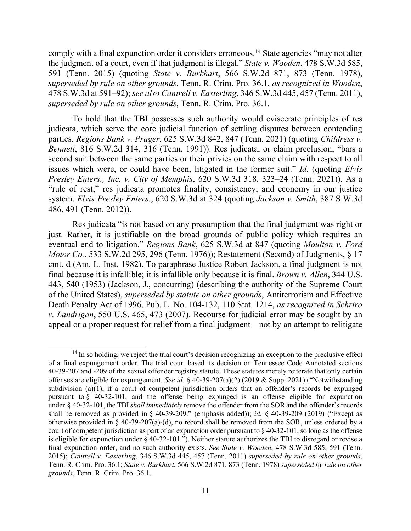comply with a final expunction order it considers erroneous.<sup>14</sup> State agencies "may not alter the judgment of a court, even if that judgment is illegal." *State v. Wooden*, 478 S.W.3d 585, 591 (Tenn. 2015) (quoting *State v. Burkhart*, 566 S.W.2d 871, 873 (Tenn. 1978), *superseded by rule on other grounds*, Tenn. R. Crim. Pro. 36.1, *as recognized in Wooden*, 478 S.W.3d at 591–92); *see also Cantrell v. Easterling*, 346 S.W.3d 445, 457 (Tenn. 2011), *superseded by rule on other grounds*, Tenn. R. Crim. Pro. 36.1.

To hold that the TBI possesses such authority would eviscerate principles of res judicata, which serve the core judicial function of settling disputes between contending parties. *Regions Bank v. Prager*, 625 S.W.3d 842, 847 (Tenn. 2021) (quoting *Childress v. Bennett*, 816 S.W.2d 314, 316 (Tenn. 1991)). Res judicata, or claim preclusion, "bars a second suit between the same parties or their privies on the same claim with respect to all issues which were, or could have been, litigated in the former suit." *Id.* (quoting *Elvis Presley Enters., Inc. v. City of Memphis*, 620 S.W.3d 318, 323–24 (Tenn. 2021)). As a "rule of rest," res judicata promotes finality, consistency, and economy in our justice system. *Elvis Presley Enters.*, 620 S.W.3d at 324 (quoting *Jackson v. Smith*, 387 S.W.3d 486, 491 (Tenn. 2012)).

Res judicata "is not based on any presumption that the final judgment was right or just. Rather, it is justifiable on the broad grounds of public policy which requires an eventual end to litigation." *Regions Bank*, 625 S.W.3d at 847 (quoting *Moulton v. Ford Motor Co.*, 533 S.W.2d 295, 296 (Tenn. 1976)); Restatement (Second) of Judgments, § 17 cmt. d (Am. L. Inst. 1982). To paraphrase Justice Robert Jackson, a final judgment is not final because it is infallible; it is infallible only because it is final. *Brown v. Allen*, 344 U.S. 443, 540 (1953) (Jackson, J., concurring) (describing the authority of the Supreme Court of the United States), *superseded by statute on other grounds*, Antiterrorism and Effective Death Penalty Act of 1996, Pub. L. No. 104-132, 110 Stat. 1214, *as recognized in Schriro v. Landrigan*, 550 U.S. 465, 473 (2007). Recourse for judicial error may be sought by an appeal or a proper request for relief from a final judgment—not by an attempt to relitigate

 $14$  In so holding, we reject the trial court's decision recognizing an exception to the preclusive effect of a final expungement order. The trial court based its decision on Tennessee Code Annotated sections 40-39-207 and -209 of the sexual offender registry statute. These statutes merely reiterate that only certain offenses are eligible for expungement. *See id.* § 40-39-207(a)(2) (2019 & Supp. 2021) ("Notwithstanding subdivision (a)(1), if a court of competent jurisdiction orders that an offender's records be expunged pursuant to § 40-32-101, and the offense being expunged is an offense eligible for expunction under § 40-32-101, the TBI *shall immediately* remove the offender from the SOR and the offender's records shall be removed as provided in § 40-39-209." (emphasis added)); *id.* § 40-39-209 (2019) ("Except as otherwise provided in § 40-39-207(a)-(d), no record shall be removed from the SOR, unless ordered by a court of competent jurisdiction as part of an expunction order pursuant to  $\S 40-32-101$ , so long as the offense is eligible for expunction under  $\hat{\S}$  40-32-101."). Neither statute authorizes the TBI to disregard or revise a final expunction order, and no such authority exists. *See State v. Wooden*, 478 S.W.3d 585, 591 (Tenn. 2015); *Cantrell v. Easterling*, 346 S.W.3d 445, 457 (Tenn. 2011) *superseded by rule on other grounds*, Tenn. R. Crim. Pro. 36.1; *State v. Burkhart*, 566 S.W.2d 871, 873 (Tenn. 1978) *superseded by rule on other grounds*, Tenn. R. Crim. Pro. 36.1.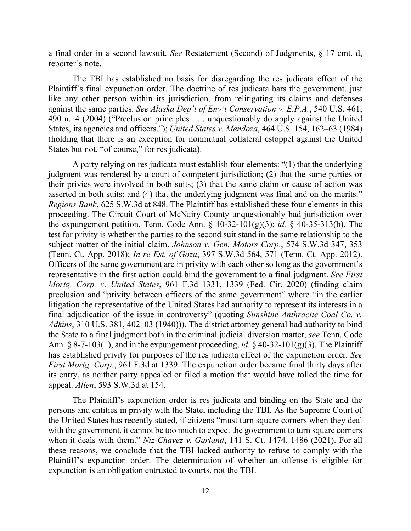a final order in a second lawsuit. *See* Restatement (Second) of Judgments, § 17 cmt. d, reporter's note.

The TBI has established no basis for disregarding the res judicata effect of the Plaintiff's final expunction order. The doctrine of res judicata bars the government, just like any other person within its jurisdiction, from relitigating its claims and defenses against the same parties. *See Alaska Dep't of Env't Conservation v. E.P.A.*, 540 U.S. 461, 490 n.14 (2004) ("Preclusion principles . . . unquestionably do apply against the United States, its agencies and officers."); *United States v. Mendoza*, 464 U.S. 154, 162–63 (1984) (holding that there is an exception for nonmutual collateral estoppel against the United States but not, "of course," for res judicata).

A party relying on res judicata must establish four elements: "(1) that the underlying judgment was rendered by a court of competent jurisdiction; (2) that the same parties or their privies were involved in both suits; (3) that the same claim or cause of action was asserted in both suits; and (4) that the underlying judgment was final and on the merits." *Regions Bank*, 625 S.W.3d at 848. The Plaintiff has established these four elements in this proceeding. The Circuit Court of McNairy County unquestionably had jurisdiction over the expungement petition. Tenn. Code Ann. § 40-32-101(g)(3); *id.* § 40-35-313(b). The test for privity is whether the parties to the second suit stand in the same relationship to the subject matter of the initial claim. *Johnson v. Gen. Motors Corp*., 574 S.W.3d 347, 353 (Tenn. Ct. App. 2018); *In re Est. of Goza*, 397 S.W.3d 564, 571 (Tenn. Ct. App. 2012). Officers of the same government are in privity with each other so long as the government's representative in the first action could bind the government to a final judgment. *See First Mortg. Corp. v. United States*, 961 F.3d 1331, 1339 (Fed. Cir. 2020) (finding claim preclusion and "privity between officers of the same government" where "in the earlier litigation the representative of the United States had authority to represent its interests in a final adjudication of the issue in controversy" (quoting *Sunshine Anthracite Coal Co. v. Adkins*, 310 U.S. 381, 402–03 (1940))). The district attorney general had authority to bind the State to a final judgment both in the criminal judicial diversion matter, *see* Tenn. Code Ann.  $\S 8-7-103(1)$ , and in the expungement proceeding, *id.*  $\S 40-32-101(g)(3)$ . The Plaintiff has established privity for purposes of the res judicata effect of the expunction order. *See First Mortg. Corp.*, 961 F.3d at 1339. The expunction order became final thirty days after its entry, as neither party appealed or filed a motion that would have tolled the time for appeal. *Allen*, 593 S.W.3d at 154.

The Plaintiff's expunction order is res judicata and binding on the State and the persons and entities in privity with the State, including the TBI. As the Supreme Court of the United States has recently stated, if citizens "must turn square corners when they deal with the government, it cannot be too much to expect the government to turn square corners when it deals with them." *Niz-Chavez v. Garland*, 141 S. Ct. 1474, 1486 (2021). For all these reasons, we conclude that the TBI lacked authority to refuse to comply with the Plaintiff's expunction order. The determination of whether an offense is eligible for expunction is an obligation entrusted to courts, not the TBI.